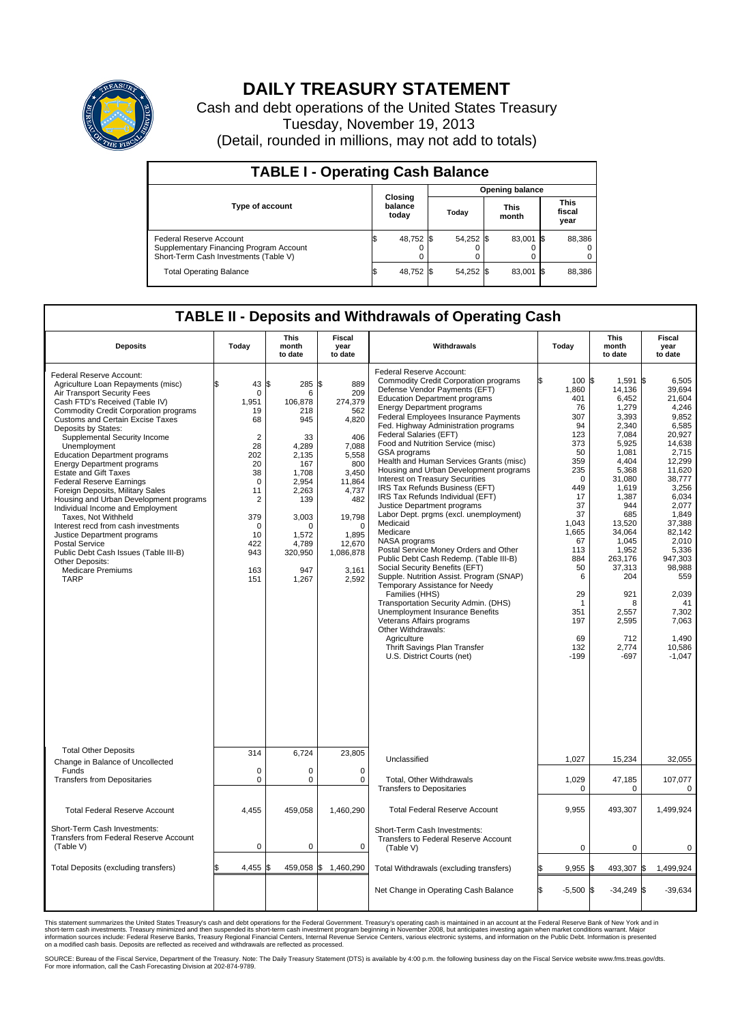

## **DAILY TREASURY STATEMENT**

Cash and debt operations of the United States Treasury Tuesday, November 19, 2013 (Detail, rounded in millions, may not add to totals)

| <b>TABLE I - Operating Cash Balance</b>                                                                     |    |                                    |                        |           |  |                      |      |                               |  |  |  |
|-------------------------------------------------------------------------------------------------------------|----|------------------------------------|------------------------|-----------|--|----------------------|------|-------------------------------|--|--|--|
|                                                                                                             |    |                                    | <b>Opening balance</b> |           |  |                      |      |                               |  |  |  |
| Type of account                                                                                             |    | <b>Closing</b><br>balance<br>today |                        | Today     |  | <b>This</b><br>month |      | <b>This</b><br>fiscal<br>year |  |  |  |
| Federal Reserve Account<br>Supplementary Financing Program Account<br>Short-Term Cash Investments (Table V) |    | 48,752                             | I\$                    | 54,252 \$ |  | 83,001 \$            |      | 88,386                        |  |  |  |
| <b>Total Operating Balance</b>                                                                              | ıъ | 48,752 \$                          |                        | 54,252 \$ |  | 83,001               | - 15 | 88,386                        |  |  |  |

## **TABLE II - Deposits and Withdrawals of Operating Cash**

| <b>Deposits</b>                                                                                                                                                                                                                                                                                                                                                                                                                                                                                                                                                                                                                                                                                                                                                                                  | Today                                                                                                                                                                                  | <b>This</b><br>month<br>to date                                                                                                                                      | <b>Fiscal</b><br>year<br>to date                                                                                                                                                       | Withdrawals                                                                                                                                                                                                                                                                                                                                                                                                                                                                                                                                                                                                                                                                                                                                                                                                                                                                                                                                                                                                                                                                                                  | Today                                                                                                                                                                                                                     | <b>This</b><br>month<br>to date                                                                                                                                                                                                                                      | Fiscal<br>year<br>to date                                                                                                                                                                                                                                                                    |
|--------------------------------------------------------------------------------------------------------------------------------------------------------------------------------------------------------------------------------------------------------------------------------------------------------------------------------------------------------------------------------------------------------------------------------------------------------------------------------------------------------------------------------------------------------------------------------------------------------------------------------------------------------------------------------------------------------------------------------------------------------------------------------------------------|----------------------------------------------------------------------------------------------------------------------------------------------------------------------------------------|----------------------------------------------------------------------------------------------------------------------------------------------------------------------|----------------------------------------------------------------------------------------------------------------------------------------------------------------------------------------|--------------------------------------------------------------------------------------------------------------------------------------------------------------------------------------------------------------------------------------------------------------------------------------------------------------------------------------------------------------------------------------------------------------------------------------------------------------------------------------------------------------------------------------------------------------------------------------------------------------------------------------------------------------------------------------------------------------------------------------------------------------------------------------------------------------------------------------------------------------------------------------------------------------------------------------------------------------------------------------------------------------------------------------------------------------------------------------------------------------|---------------------------------------------------------------------------------------------------------------------------------------------------------------------------------------------------------------------------|----------------------------------------------------------------------------------------------------------------------------------------------------------------------------------------------------------------------------------------------------------------------|----------------------------------------------------------------------------------------------------------------------------------------------------------------------------------------------------------------------------------------------------------------------------------------------|
| Federal Reserve Account:<br>Agriculture Loan Repayments (misc)<br>Air Transport Security Fees<br>Cash FTD's Received (Table IV)<br><b>Commodity Credit Corporation programs</b><br><b>Customs and Certain Excise Taxes</b><br>Deposits by States:<br>Supplemental Security Income<br>Unemployment<br><b>Education Department programs</b><br><b>Energy Department programs</b><br><b>Estate and Gift Taxes</b><br><b>Federal Reserve Earnings</b><br>Foreign Deposits, Military Sales<br>Housing and Urban Development programs<br>Individual Income and Employment<br>Taxes. Not Withheld<br>Interest recd from cash investments<br>Justice Department programs<br><b>Postal Service</b><br>Public Debt Cash Issues (Table III-B)<br>Other Deposits:<br><b>Medicare Premiums</b><br><b>TARP</b> | 43<br>\$<br>$\mathbf 0$<br>1.951<br>19<br>68<br>$\overline{2}$<br>28<br>202<br>20<br>38<br>$\mathbf 0$<br>11<br>$\overline{2}$<br>379<br>$\mathbf 0$<br>10<br>422<br>943<br>163<br>151 | 1\$<br>285<br>6<br>106,878<br>218<br>945<br>33<br>4,289<br>2,135<br>167<br>1,708<br>2,954<br>2,263<br>139<br>3,003<br>O<br>1,572<br>4,789<br>320,950<br>947<br>1,267 | \$<br>889<br>209<br>274,379<br>562<br>4,820<br>406<br>7,088<br>5,558<br>800<br>3,450<br>11,864<br>4,737<br>482<br>19,798<br>$\Omega$<br>1,895<br>12,670<br>1,086,878<br>3,161<br>2,592 | Federal Reserve Account:<br><b>Commodity Credit Corporation programs</b><br>Defense Vendor Payments (EFT)<br><b>Education Department programs</b><br><b>Energy Department programs</b><br><b>Federal Employees Insurance Payments</b><br>Fed. Highway Administration programs<br>Federal Salaries (EFT)<br>Food and Nutrition Service (misc)<br>GSA programs<br>Health and Human Services Grants (misc)<br>Housing and Urban Development programs<br>Interest on Treasury Securities<br>IRS Tax Refunds Business (EFT)<br>IRS Tax Refunds Individual (EFT)<br>Justice Department programs<br>Labor Dept. prgms (excl. unemployment)<br>Medicaid<br>Medicare<br>NASA programs<br>Postal Service Money Orders and Other<br>Public Debt Cash Redemp. (Table III-B)<br>Social Security Benefits (EFT)<br>Supple. Nutrition Assist. Program (SNAP)<br>Temporary Assistance for Needy<br>Families (HHS)<br>Transportation Security Admin. (DHS)<br>Unemployment Insurance Benefits<br>Veterans Affairs programs<br>Other Withdrawals:<br>Agriculture<br>Thrift Savings Plan Transfer<br>U.S. District Courts (net) | 100S<br>1,860<br>401<br>76<br>307<br>94<br>123<br>373<br>50<br>359<br>235<br>$\Omega$<br>449<br>17<br>37<br>37<br>1,043<br>1,665<br>67<br>113<br>884<br>50<br>6<br>29<br>$\mathbf 1$<br>351<br>197<br>69<br>132<br>$-199$ | 1.591<br>14,136<br>6,452<br>1,279<br>3,393<br>2,340<br>7,084<br>5,925<br>1,081<br>4,404<br>5,368<br>31,080<br>1,619<br>1,387<br>944<br>685<br>13,520<br>34,064<br>1.045<br>1,952<br>263.176<br>37,313<br>204<br>921<br>8<br>2,557<br>2,595<br>712<br>2,774<br>$-697$ | l\$<br>6.505<br>39.694<br>21,604<br>4,246<br>9,852<br>6,585<br>20,927<br>14,638<br>2,715<br>12,299<br>11,620<br>38,777<br>3,256<br>6,034<br>2.077<br>1,849<br>37.388<br>82,142<br>2.010<br>5,336<br>947.303<br>98,988<br>559<br>2,039<br>41<br>7,302<br>7,063<br>1,490<br>10,586<br>$-1,047$ |
| <b>Total Other Deposits</b><br>Change in Balance of Uncollected                                                                                                                                                                                                                                                                                                                                                                                                                                                                                                                                                                                                                                                                                                                                  | 314                                                                                                                                                                                    | 6,724                                                                                                                                                                | 23,805                                                                                                                                                                                 | Unclassified                                                                                                                                                                                                                                                                                                                                                                                                                                                                                                                                                                                                                                                                                                                                                                                                                                                                                                                                                                                                                                                                                                 | 1,027                                                                                                                                                                                                                     | 15,234                                                                                                                                                                                                                                                               | 32,055                                                                                                                                                                                                                                                                                       |
| Funds<br><b>Transfers from Depositaries</b>                                                                                                                                                                                                                                                                                                                                                                                                                                                                                                                                                                                                                                                                                                                                                      | $\mathbf 0$<br>$\pmb{0}$                                                                                                                                                               | 0<br>0                                                                                                                                                               | 0<br>$\mathbf 0$                                                                                                                                                                       | Total, Other Withdrawals<br><b>Transfers to Depositaries</b>                                                                                                                                                                                                                                                                                                                                                                                                                                                                                                                                                                                                                                                                                                                                                                                                                                                                                                                                                                                                                                                 | 1,029<br>$\Omega$                                                                                                                                                                                                         | 47,185<br>$\Omega$                                                                                                                                                                                                                                                   | 107,077<br>0                                                                                                                                                                                                                                                                                 |
| <b>Total Federal Reserve Account</b>                                                                                                                                                                                                                                                                                                                                                                                                                                                                                                                                                                                                                                                                                                                                                             | 4,455                                                                                                                                                                                  | 459,058                                                                                                                                                              | 1,460,290                                                                                                                                                                              | <b>Total Federal Reserve Account</b>                                                                                                                                                                                                                                                                                                                                                                                                                                                                                                                                                                                                                                                                                                                                                                                                                                                                                                                                                                                                                                                                         | 9,955                                                                                                                                                                                                                     | 493,307                                                                                                                                                                                                                                                              | 1,499,924                                                                                                                                                                                                                                                                                    |
| Short-Term Cash Investments:<br>Transfers from Federal Reserve Account<br>(Table V)                                                                                                                                                                                                                                                                                                                                                                                                                                                                                                                                                                                                                                                                                                              | $\pmb{0}$                                                                                                                                                                              | 0                                                                                                                                                                    | 0                                                                                                                                                                                      | Short-Term Cash Investments:<br>Transfers to Federal Reserve Account<br>(Table V)                                                                                                                                                                                                                                                                                                                                                                                                                                                                                                                                                                                                                                                                                                                                                                                                                                                                                                                                                                                                                            | 0                                                                                                                                                                                                                         | 0                                                                                                                                                                                                                                                                    | 0                                                                                                                                                                                                                                                                                            |
| Total Deposits (excluding transfers)                                                                                                                                                                                                                                                                                                                                                                                                                                                                                                                                                                                                                                                                                                                                                             | 4,455                                                                                                                                                                                  | 459,058 \$<br>\$                                                                                                                                                     | 1,460,290                                                                                                                                                                              | Total Withdrawals (excluding transfers)                                                                                                                                                                                                                                                                                                                                                                                                                                                                                                                                                                                                                                                                                                                                                                                                                                                                                                                                                                                                                                                                      | $9,955$ \$                                                                                                                                                                                                                | 493,307 \$                                                                                                                                                                                                                                                           | 1,499,924                                                                                                                                                                                                                                                                                    |
|                                                                                                                                                                                                                                                                                                                                                                                                                                                                                                                                                                                                                                                                                                                                                                                                  |                                                                                                                                                                                        |                                                                                                                                                                      |                                                                                                                                                                                        | Net Change in Operating Cash Balance                                                                                                                                                                                                                                                                                                                                                                                                                                                                                                                                                                                                                                                                                                                                                                                                                                                                                                                                                                                                                                                                         | $-5,500$ \$                                                                                                                                                                                                               | $-34,249$ \$                                                                                                                                                                                                                                                         | $-39,634$                                                                                                                                                                                                                                                                                    |

This statement summarizes the United States Treasury's cash and debt operations for the Federal Government. Treasury's operating cash is maintained in an account at the Federal Reserve Bank of New York and in<br>short-term ca

SOURCE: Bureau of the Fiscal Service, Department of the Treasury. Note: The Daily Treasury Statement (DTS) is available by 4:00 p.m. the following business day on the Fiscal Service website www.fms.treas.gov/dts.<br>For more